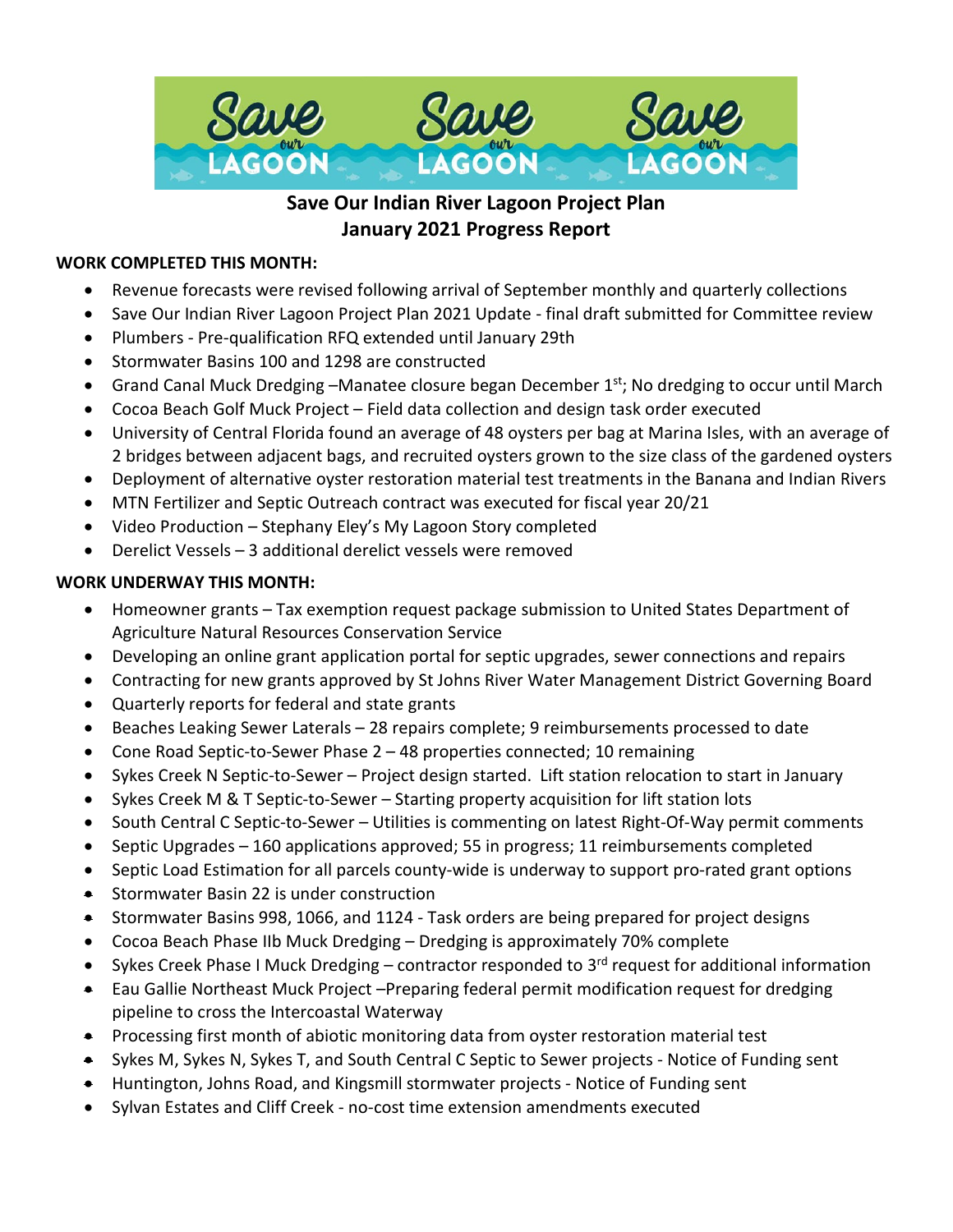

# **Save Our Indian River Lagoon Project Plan January 2021 Progress Report**

## **WORK COMPLETED THIS MONTH:**

- Revenue forecasts were revised following arrival of September monthly and quarterly collections
- Save Our Indian River Lagoon Project Plan 2021 Update final draft submitted for Committee review
- Plumbers Pre-qualification RFQ extended until January 29th
- Stormwater Basins 100 and 1298 are constructed
- Grand Canal Muck Dredging –Manatee closure began December  $1<sup>st</sup>$ ; No dredging to occur until March
- Cocoa Beach Golf Muck Project Field data collection and design task order executed
- University of Central Florida found an average of 48 oysters per bag at Marina Isles, with an average of 2 bridges between adjacent bags, and recruited oysters grown to the size class of the gardened oysters
- Deployment of alternative oyster restoration material test treatments in the Banana and Indian Rivers
- MTN Fertilizer and Septic Outreach contract was executed for fiscal year 20/21
- Video Production Stephany Eley's My Lagoon Story completed
- Derelict Vessels 3 additional derelict vessels were removed

## **WORK UNDERWAY THIS MONTH:**

- Homeowner grants Tax exemption request package submission to United States Department of Agriculture Natural Resources Conservation Service
- Developing an online grant application portal for septic upgrades, sewer connections and repairs
- Contracting for new grants approved by St Johns River Water Management District Governing Board
- Quarterly reports for federal and state grants
- Beaches Leaking Sewer Laterals 28 repairs complete; 9 reimbursements processed to date
- Cone Road Septic-to-Sewer Phase 2 48 properties connected; 10 remaining
- Sykes Creek N Septic-to-Sewer Project design started. Lift station relocation to start in January
- Sykes Creek M & T Septic-to-Sewer Starting property acquisition for lift station lots
- South Central C Septic-to-Sewer Utilities is commenting on latest Right-Of-Way permit comments
- Septic Upgrades 160 applications approved; 55 in progress; 11 reimbursements completed
- Septic Load Estimation for all parcels county-wide is underway to support pro-rated grant options
- Stormwater Basin 22 is under construction
- Stormwater Basins 998, 1066, and 1124 Task orders are being prepared for project designs
- Cocoa Beach Phase IIb Muck Dredging Dredging is approximately 70% complete
- Sykes Creek Phase I Muck Dredging contractor responded to 3<sup>rd</sup> request for additional information
- Eau Gallie Northeast Muck Project –Preparing federal permit modification request for dredging pipeline to cross the Intercoastal Waterway
- Processing first month of abiotic monitoring data from oyster restoration material test
- Sykes M, Sykes N, Sykes T, and South Central C Septic to Sewer projects Notice of Funding sent
- Huntington, Johns Road, and Kingsmill stormwater projects Notice of Funding sent
- Sylvan Estates and Cliff Creek no-cost time extension amendments executed